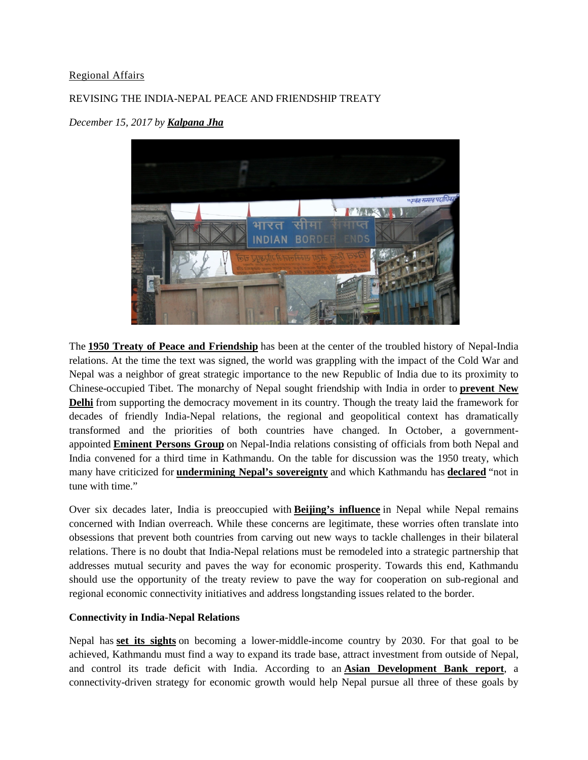## [Regional Affairs](https://southasianvoices.org/sav_channels/regional-affairs/)

# REVISING THE INDIA-NEPAL PEACE AND FRIENDSHIP TREATY



*December 15, 2017 by [Kalpana Jha](https://southasianvoices.org/author/kalpana_jha/)*

The **[1950 Treaty of Peace and Friendship](http://mea.gov.in/bilateral-documents.htm?dtl/6295/Treaty+of+Peace+and+Friendship)** has been at the center of the troubled history of Nepal-India relations. At the time the text was signed, the world was grappling with the impact of the Cold War and Nepal was a neighbor of great strategic importance to the new Republic of India due to its proximity to Chinese-occupied Tibet. The monarchy of Nepal sought friendship with India in order to **[prevent New](http://www.ijsrp.org/research-paper-1114/ijsrp-p3547.pdf)  [Delhi](http://www.ijsrp.org/research-paper-1114/ijsrp-p3547.pdf)** from supporting the democracy movement in its country. Though the treaty laid the framework for decades of friendly India-Nepal relations, the regional and geopolitical context has dramatically transformed and the priorities of both countries have changed. In October, a governmentappointed **[Eminent Persons Group](http://www.thehindu.com/news/national/eminent-persons-group-seeks-review-of-1950-india-nepal-friendship-treaty/article19855978.ece)** on Nepal-India relations consisting of officials from both Nepal and India convened for a third time in Kathmandu. On the table for discussion was the 1950 treaty, which many have criticized for **[undermining Nepal's sovereignty](http://therisingnepal.org.np/news/18202)** and which Kathmandu has **[declared](http://kathmandupost.ekantipur.com/news/2017-04-06/nepal-india-3rd-epg-meeting-indian-side-positive-on-nepals-proposal-to-review-peace-treaty.html)** "not in tune with time."

Over six decades later, India is preoccupied with **[Beijing's influence](https://thewire.in/170753/nepal-india-relations-china/)** in Nepal while Nepal remains concerned with Indian overreach. While these concerns are legitimate, these worries often translate into obsessions that prevent both countries from carving out new ways to tackle challenges in their bilateral relations. There is no doubt that India-Nepal relations must be remodeled into a strategic partnership that addresses mutual security and paves the way for economic prosperity. Towards this end, Kathmandu should use the opportunity of the treaty review to pave the way for cooperation on sub-regional and regional economic connectivity initiatives and address longstanding issues related to the border.

## **Connectivity in India-Nepal Relations**

Nepal has **[set its sights](http://www.worldbank.org/en/region/sar/publication/climbing-higher-toward-a-middle-income-country)** on becoming a lower-middle-income country by 2030. For that goal to be achieved, Kathmandu must find a way to expand its trade base, attract investment from outside of Nepal, and control its trade deficit with India. According to an **[Asian Development Bank report](https://www.adb.org/sites/default/files/publication/156353/adbi-wp498.pdf)**, a connectivity-driven strategy for economic growth would help Nepal pursue all three of these goals by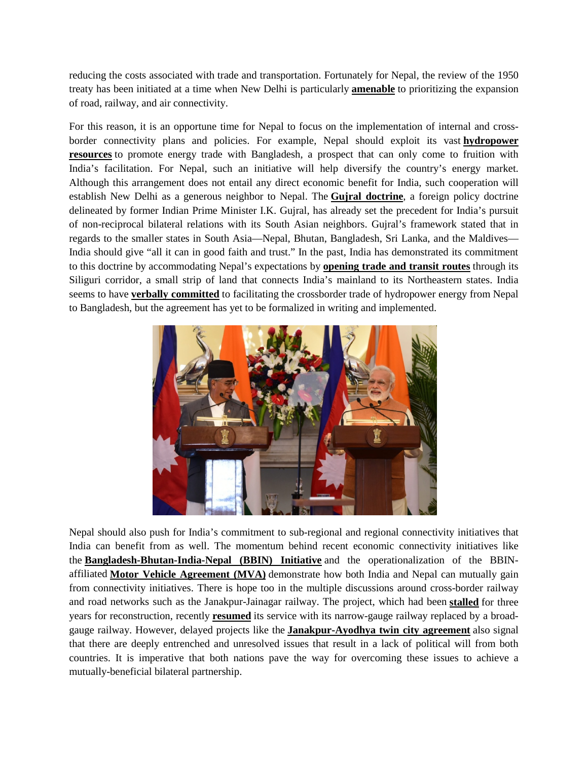reducing the costs associated with trade and transportation. Fortunately for Nepal, the review of the 1950 treaty has been initiated at a time when New Delhi is particularly **[amenable](http://kathmandupost.ekantipur.com/news/2016-06-16/india-planning-to-boost-connectivity-with-nepal.html)** to prioritizing the expansion of road, railway, and air connectivity.

For this reason, it is an opportune time for Nepal to focus on the implementation of internal and crossborder connectivity plans and policies. For example, Nepal should exploit its vast **[hydropower](http://www.ifc.org/wps/wcm/connect/news_ext_content/ifc_external_corporate_site/news+and+events/news/nepal+hydropower)  [resources](http://www.ifc.org/wps/wcm/connect/news_ext_content/ifc_external_corporate_site/news+and+events/news/nepal+hydropower)** to promote energy trade with Bangladesh, a prospect that can only come to fruition with India's facilitation. For Nepal, such an initiative will help diversify the country's energy market. Although this arrangement does not entail any direct economic benefit for India, such cooperation will establish New Delhi as a generous neighbor to Nepal. The **[Gujral doctrine](https://www.stimson.org/the-gujral-doctrine)**, a foreign policy doctrine delineated by former Indian Prime Minister I.K. Gujral, has already set the precedent for India's pursuit of non-reciprocal bilateral relations with its South Asian neighbors. Gujral's framework stated that in regards to the smaller states in South Asia—Nepal, Bhutan, Bangladesh, Sri Lanka, and the Maldives— India should give "all it can in good faith and trust." In the past, India has demonstrated its commitment to this doctrine by accommodating Nepal's expectations by **[opening trade and transit routes](http://www.theindependentbd.com/printversion/details/34720)** through its Siliguri corridor, a small strip of land that connects India's mainland to its Northeastern states. India seems to have **[verbally committed](http://kathmandupost.ekantipur.com/news/2017-10-25/bdesh-india-and-nepal-to-enforce-transport-deal.html)** to facilitating the crossborder trade of hydropower energy from Nepal to Bangladesh, but the agreement has yet to be formalized in writing and implemented.



Nepal should also push for India's commitment to sub-regional and regional connectivity initiatives that India can benefit from as well. The momentum behind recent economic connectivity initiatives like the **[Bangladesh-Bhutan-India-Nepal \(BBIN\) Initiative](https://www.orfonline.org/wp-content/uploads/2016/03/ORF-Issue-Brief_135.pdf)** and the operationalization of the BBINaffiliated **[Motor Vehicle Agreement \(MVA\)](http://www.hindustantimes.com/india-news/india-starts-on-implementation-of-motor-pact-with-bangladesh-nepal/story-g0RPiKmWrqAt9BRJQvdibL.html)** demonstrate how both India and Nepal can mutually gain from connectivity initiatives. There is hope too in the multiple discussions around cross-border railway and road networks such as the Janakpur-Jainagar railway. The project, which had been **[stalled](https://www.citylab.com/transportation/2017/06/nepal-india-train-janakpur/530601/)** for three years for reconstruction, recently **[resumed](https://thehimalayantimes.com/nepal/janakpur-jayanagar-railway-service-resume-soon/)** its service with its narrow-gauge railway replaced by a broadgauge railway. However, delayed projects like the **[Janakpur-Ayodhya twin city agreement](http://www.myrepublica.com/news/22934/)** also signal that there are deeply entrenched and unresolved issues that result in a lack of political will from both countries. It is imperative that both nations pave the way for overcoming these issues to achieve a mutually-beneficial bilateral partnership.